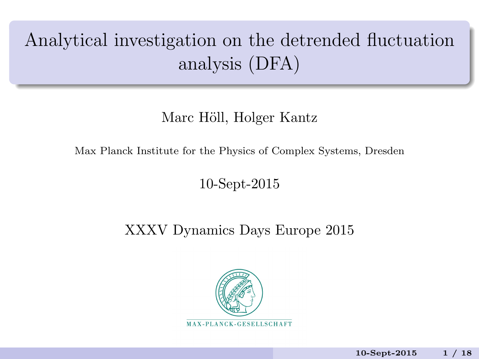# Analytical investigation on the detrended fluctuation analysis (DFA)

## Marc Höll, Holger Kantz

Max Planck Institute for the Physics of Complex Systems, Dresden

### 10-Sept-2015

# XXXV Dynamics Days Europe 2015

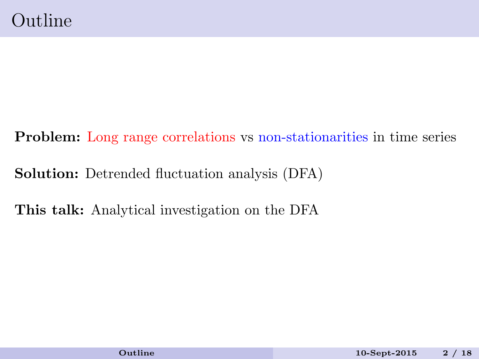<span id="page-1-0"></span>Problem: Long range correlations vs non-stationarities in time series Solution: Detrended fluctuation analysis (DFA) This talk: Analytical investigation on the DFA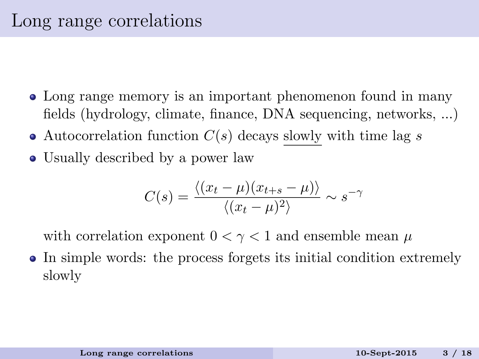- Long range memory is an important phenomenon found in many fields (hydrology, climate, finance, DNA sequencing, networks, ...)
- Autocorrelation function  $C(s)$  decays slowly with time lag s
- Usually described by a power law

<span id="page-2-0"></span>
$$
C(s) = \frac{\langle (x_t - \mu)(x_{t+s} - \mu) \rangle}{\langle (x_t - \mu)^2 \rangle} \sim s^{-\gamma}
$$

with correlation exponent  $0 < \gamma < 1$  and ensemble mean  $\mu$ 

In simple words: the process forgets its initial condition extremely slowly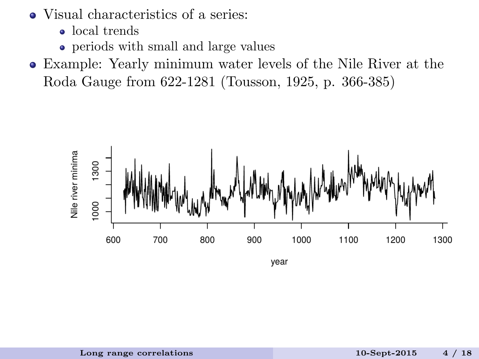- Visual characteristics of a series:
	- local trends
	- periods with small and large values
- Example: Yearly minimum water levels of the Nile River at the Roda Gauge from 622-1281 (Tousson, 1925, p. 366-385)

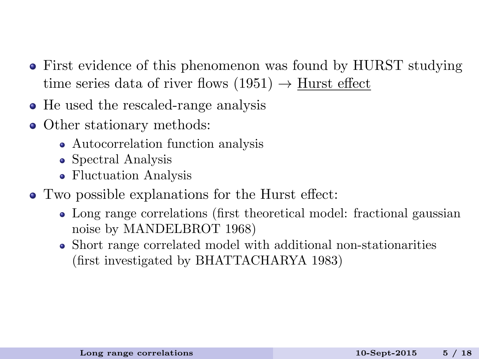- First evidence of this phenomenon was found by HURST studying time series data of river flows  $(1951) \rightarrow$  Hurst effect
- He used the rescaled-range analysis
- Other stationary methods:
	- Autocorrelation function analysis
	- Spectral Analysis
	- Fluctuation Analysis
- Two possible explanations for the Hurst effect:
	- Long range correlations (first theoretical model: fractional gaussian noise by MANDELBROT 1968)
	- Short range correlated model with additional non-stationarities (first investigated by BHATTACHARYA 1983)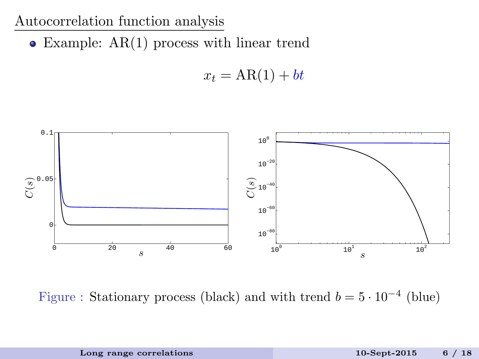#### Autocorrelation function analysis

Example: AR(1) process with linear trend

$$
x_t = AR(1) + bt
$$



Figure : Stationary process (black) and with trend  $b = 5 \cdot 10^{-4}$  (blue)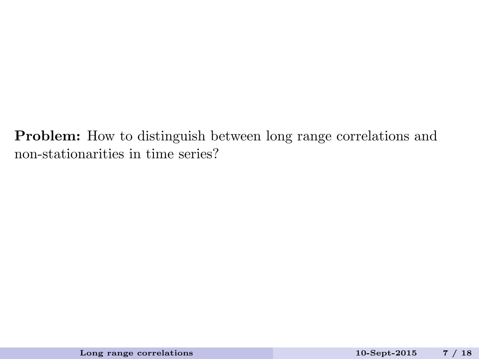Problem: How to distinguish between long range correlations and non-stationarities in time series?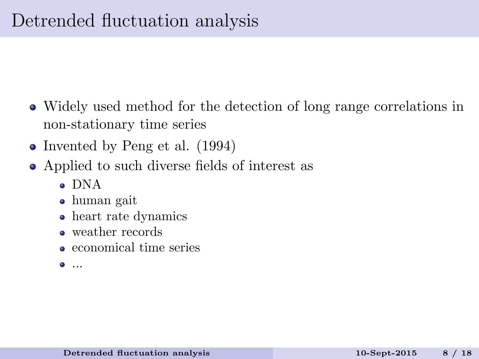- Widely used method for the detection of long range correlations in non-stationary time series
- Invented by Peng et al. (1994)
- <span id="page-7-0"></span>Applied to such diverse fields of interest as
	- DNA
	- human gait
	- heart rate dynamics
	- weather records
	- economical time series
	- ...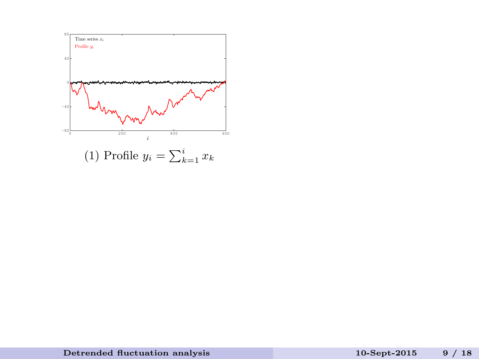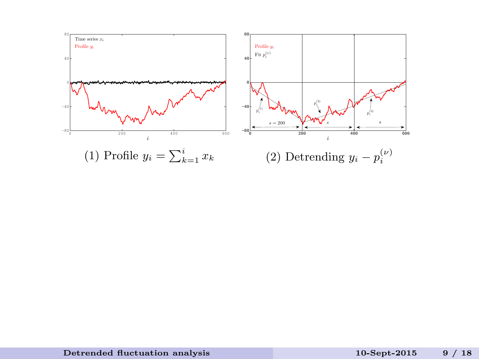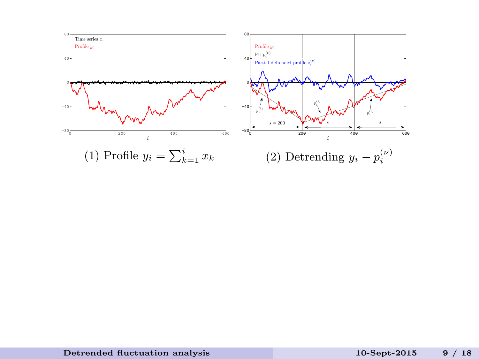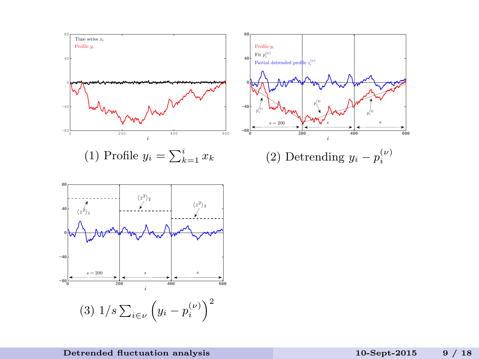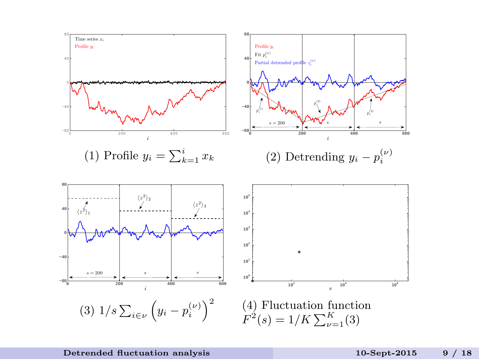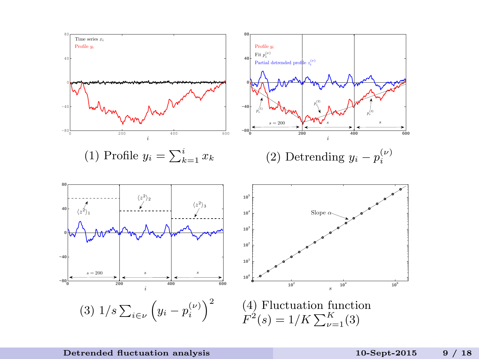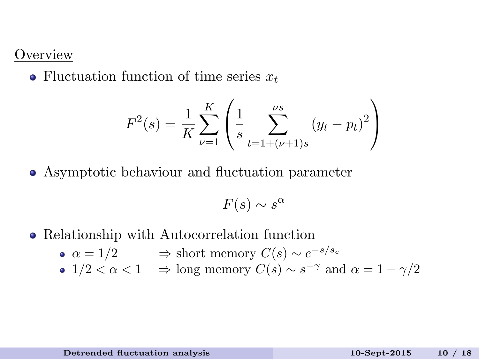#### **Overview**

• Fluctuation function of time series  $x_t$ 

$$
F^{2}(s) = \frac{1}{K} \sum_{\nu=1}^{K} \left( \frac{1}{s} \sum_{t=1+(\nu+1)s}^{\nu s} (y_{t} - p_{t})^{2} \right)
$$

Asymptotic behaviour and fluctuation parameter

$$
F(s) \sim s^{\alpha}
$$

- Relationship with Autocorrelation function
	- $\alpha = 1/2 \qquad \Rightarrow \text{short memory } C(s) \sim e^{-s/s_c}$
	- $1/2 < \alpha < 1 \implies \text{long memory } C(s) \sim s^{-\gamma} \text{ and } \alpha = 1 \gamma/2$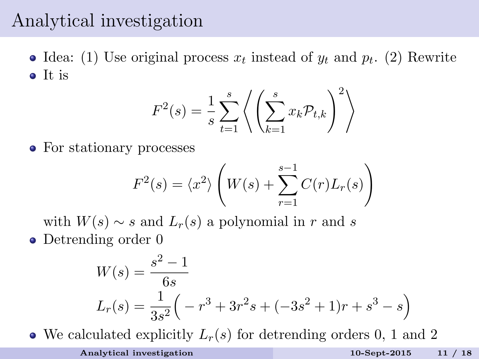# Analytical investigation

Idea: (1) Use original process  $x_t$  instead of  $y_t$  and  $p_t$ . (2) Rewrite • It is

$$
F^{2}(s) = \frac{1}{s} \sum_{t=1}^{s} \left\langle \left( \sum_{k=1}^{s} x_{k} \mathcal{P}_{t,k} \right)^{2} \right\rangle
$$

• For stationary processes

$$
F^{2}(s) = \langle x^{2} \rangle \left( W(s) + \sum_{r=1}^{s-1} C(r) L_{r}(s) \right)
$$

with  $W(s) \sim s$  and  $L_r(s)$  a polynomial in r and s

• Detrending order 0

<span id="page-15-0"></span>
$$
W(s) = \frac{s^2 - 1}{6s}
$$
  
\n
$$
L_r(s) = \frac{1}{3s^2} \left( -r^3 + 3r^2s + (-3s^2 + 1)r + s^3 - s \right)
$$

• We calculated explicitly  $L_r(s)$  for detrending orders 0, 1 and 2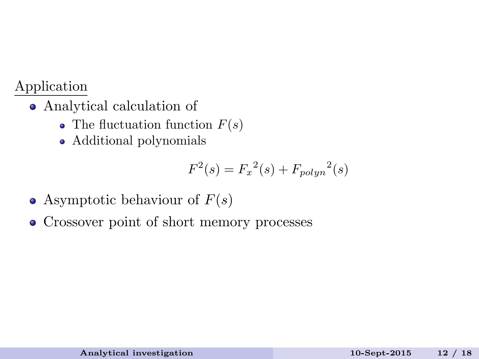#### Application

- Analytical calculation of
	- The fluctuation function  $F(s)$
	- Additional polynomials

$$
F^{2}(s) = F_{x}^{2}(s) + F_{polyn}^{2}(s)
$$

- Asymptotic behaviour of  $F(s)$
- Crossover point of short memory processes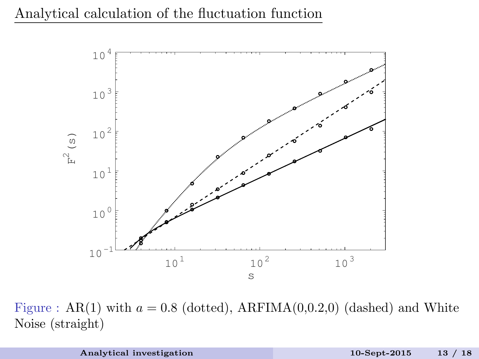

Figure : AR(1) with  $a = 0.8$  (dotted), ARFIMA(0,0.2,0) (dashed) and White Noise (straight)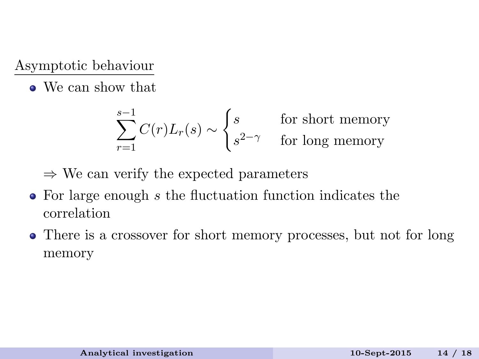Asymptotic behaviour

• We can show that

$$
\sum_{r=1}^{s-1} C(r)L_r(s) \sim \begin{cases} s & \text{for short memory} \\ s^{2-\gamma} & \text{for long memory} \end{cases}
$$

 $\Rightarrow$  We can verify the expected parameters

- For large enough s the fluctuation function indicates the correlation
- There is a crossover for short memory processes, but not for long memory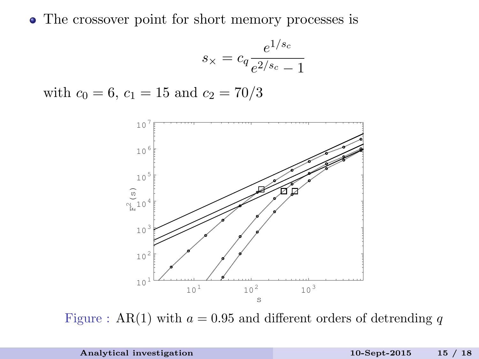• The crossover point for short memory processes is

$$
s_{\times} = c_q \frac{e^{1/s_c}}{e^{2/s_c} - 1}
$$

with  $c_0 = 6$ ,  $c_1 = 15$  and  $c_2 = 70/3$ 



Figure : AR(1) with  $a = 0.95$  and different orders of detrending q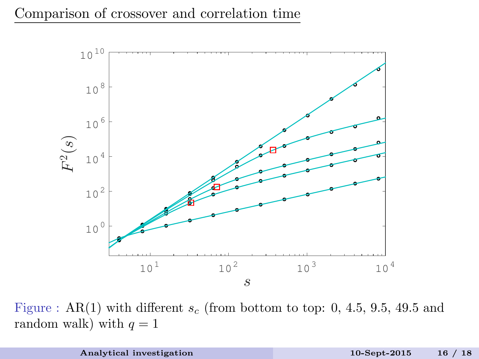

Figure : AR(1) with different  $s_c$  (from bottom to top: 0, 4.5, 9.5, 49.5 and random walk) with  $q = 1$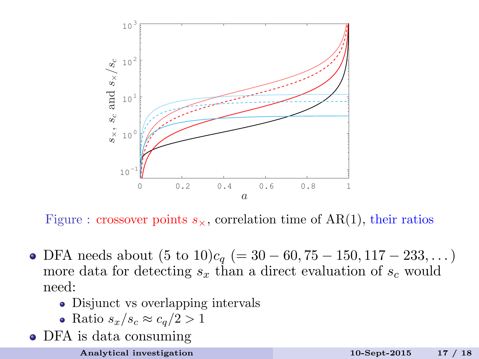

Figure : crossover points  $s_{\times}$ , correlation time of AR(1), their ratios

- DFA needs about  $(5 \text{ to } 10)c_q (= 30 60, 75 150, 117 233, ...)$ more data for detecting  $s_x$  than a direct evaluation of  $s_c$  would need:
	- Disjunct vs overlapping intervals
	- Ratio  $s_x/s_c \approx c_q/2 > 1$
- DFA is data consuming